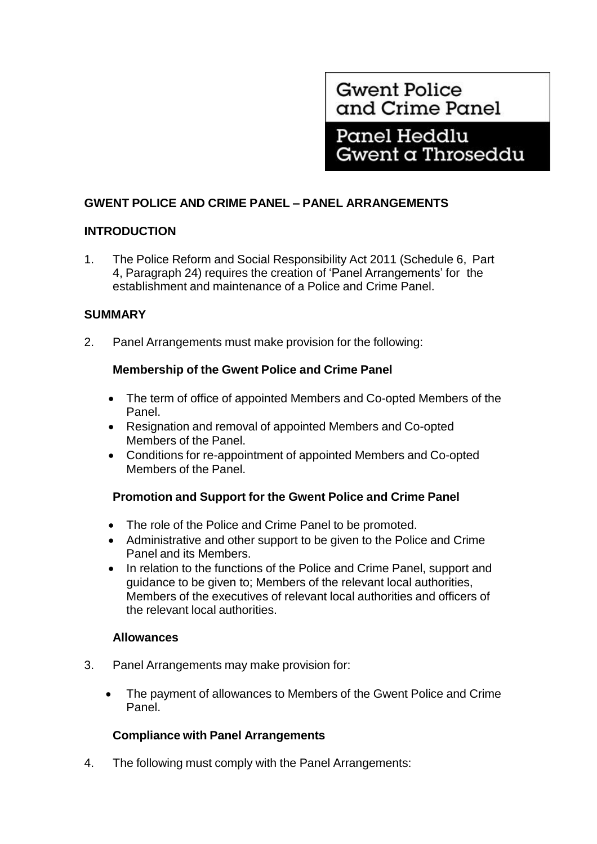**Gwent Police** and Crime Panel

Panel Heddlu Gwent a Throseddu

# **GWENT POLICE AND CRIME PANEL – PANEL ARRANGEMENTS**

# **INTRODUCTION**

1. The Police Reform and Social Responsibility Act 2011 (Schedule 6, Part 4, Paragraph 24) requires the creation of 'Panel Arrangements' for the establishment and maintenance of a Police and Crime Panel.

# **SUMMARY**

2. Panel Arrangements must make provision for the following:

# **Membership of the Gwent Police and Crime Panel**

- The term of office of appointed Members and Co-opted Members of the Panel.
- Resignation and removal of appointed Members and Co-opted Members of the Panel.
- Conditions for re-appointment of appointed Members and Co-opted Members of the Panel.

# **Promotion and Support for the Gwent Police and Crime Panel**

- The role of the Police and Crime Panel to be promoted.
- Administrative and other support to be given to the Police and Crime Panel and its Members.
- In relation to the functions of the Police and Crime Panel, support and guidance to be given to; Members of the relevant local authorities, Members of the executives of relevant local authorities and officers of the relevant local authorities.

## **Allowances**

- 3. Panel Arrangements may make provision for:
	- The payment of allowances to Members of the Gwent Police and Crime Panel.

# **Compliance with Panel Arrangements**

4. The following must comply with the Panel Arrangements: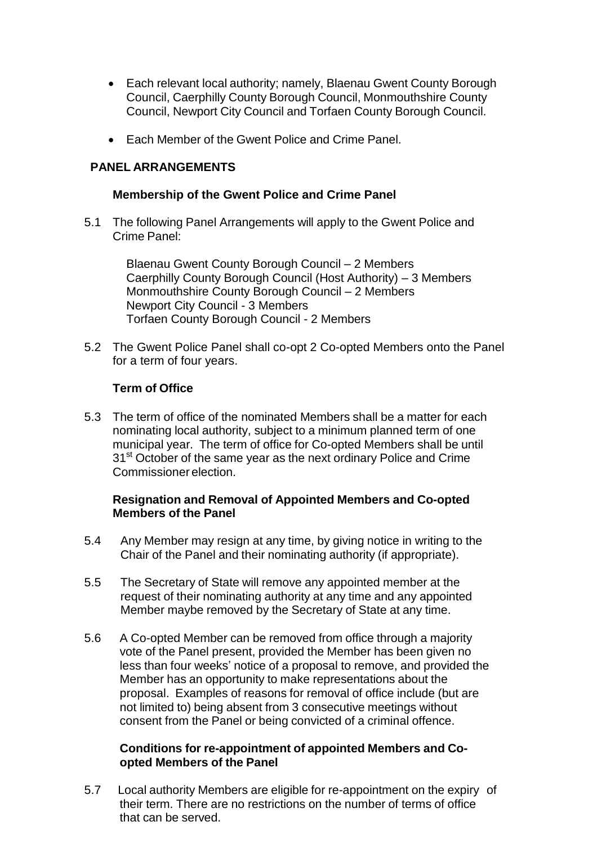- Each relevant local authority; namely, Blaenau Gwent County Borough Council, Caerphilly County Borough Council, Monmouthshire County Council, Newport City Council and Torfaen County Borough Council.
- Fach Member of the Gwent Police and Crime Panel.

# **PANEL ARRANGEMENTS**

#### **Membership of the Gwent Police and Crime Panel**

5.1 The following Panel Arrangements will apply to the Gwent Police and Crime Panel:

> Blaenau Gwent County Borough Council – 2 Members Caerphilly County Borough Council (Host Authority) – 3 Members Monmouthshire County Borough Council – 2 Members Newport City Council - 3 Members Torfaen County Borough Council - 2 Members

5.2 The Gwent Police Panel shall co-opt 2 Co-opted Members onto the Panel for a term of four years.

#### **Term of Office**

5.3 The term of office of the nominated Members shall be a matter for each nominating local authority, subject to a minimum planned term of one municipal year. The term of office for Co-opted Members shall be until 31<sup>st</sup> October of the same year as the next ordinary Police and Crime Commissioner election.

## **Resignation and Removal of Appointed Members and Co-opted Members of the Panel**

- 5.4 Any Member may resign at any time, by giving notice in writing to the Chair of the Panel and their nominating authority (if appropriate).
- 5.5 The Secretary of State will remove any appointed member at the request of their nominating authority at any time and any appointed Member maybe removed by the Secretary of State at any time.
- 5.6 A Co-opted Member can be removed from office through a majority vote of the Panel present, provided the Member has been given no less than four weeks' notice of a proposal to remove, and provided the Member has an opportunity to make representations about the proposal. Examples of reasons for removal of office include (but are not limited to) being absent from 3 consecutive meetings without consent from the Panel or being convicted of a criminal offence.

## **Conditions for re-appointment of appointed Members and Coopted Members of the Panel**

5.7 Local authority Members are eligible for re-appointment on the expiry of their term. There are no restrictions on the number of terms of office that can be served.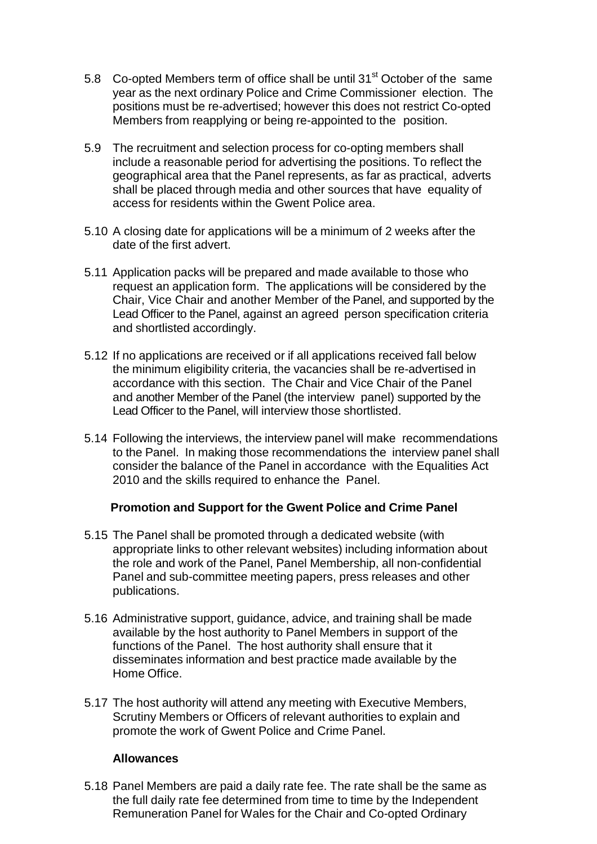- 5.8 Co-opted Members term of office shall be until 31<sup>st</sup> October of the same year as the next ordinary Police and Crime Commissioner election. The positions must be re-advertised; however this does not restrict Co-opted Members from reapplying or being re-appointed to the position.
- 5.9 The recruitment and selection process for co-opting members shall include a reasonable period for advertising the positions. To reflect the geographical area that the Panel represents, as far as practical, adverts shall be placed through media and other sources that have equality of access for residents within the Gwent Police area.
- 5.10 A closing date for applications will be a minimum of 2 weeks after the date of the first advert.
- 5.11 Application packs will be prepared and made available to those who request an application form. The applications will be considered by the Chair, Vice Chair and another Member of the Panel, and supported by the Lead Officer to the Panel, against an agreed person specification criteria and shortlisted accordingly.
- 5.12 If no applications are received or if all applications received fall below the minimum eligibility criteria, the vacancies shall be re-advertised in accordance with this section. The Chair and Vice Chair of the Panel and another Member of the Panel (the interview panel) supported by the Lead Officer to the Panel, will interview those shortlisted.
- 5.14 Following the interviews, the interview panel will make recommendations to the Panel. In making those recommendations the interview panel shall consider the balance of the Panel in accordance with the Equalities Act 2010 and the skills required to enhance the Panel.

## **Promotion and Support for the Gwent Police and Crime Panel**

- 5.15 The Panel shall be promoted through a dedicated website (with appropriate links to other relevant websites) including information about the role and work of the Panel, Panel Membership, all non-confidential Panel and sub-committee meeting papers, press releases and other publications.
- 5.16 Administrative support, guidance, advice, and training shall be made available by the host authority to Panel Members in support of the functions of the Panel. The host authority shall ensure that it disseminates information and best practice made available by the Home Office.
- 5.17 The host authority will attend any meeting with Executive Members, Scrutiny Members or Officers of relevant authorities to explain and promote the work of Gwent Police and Crime Panel.

#### **Allowances**

5.18 Panel Members are paid a daily rate fee. The rate shall be the same as the full daily rate fee determined from time to time by the Independent Remuneration Panel for Wales for the Chair and Co-opted Ordinary